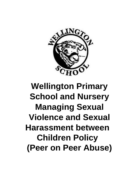

# **Wellington Primary School and Nursery Managing Sexual Violence and Sexual Harassment between Children Policy (Peer on Peer Abuse)**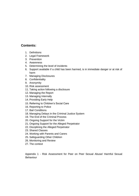## **Contents:**

- 1. Definitions
- 2. Legal Framework
- 3. Prevention
- 4. Awareness
- 5. Determining the level of incidents
- 6. Support available if a child has been harmed, is in immediate danger or at risk of harm
- 7. Managing Disclosures
- 8. Confidentiality
- 9. Anonymity
- 10. Risk assessment
- 11. Taking action following a disclosure
- 12. Managing the Report
- 13. Managing Internally
- 14. Providing Early Help
- 15. Referring to Children's Social Care
- 16. Reporting to Police
- 17. Bail Conditions
- 18. Managing Delays in the Criminal Justice System
- 19. The End of the Criminal Process
- 20. Ongoing Support for the Victim
- 21. Ongoing Support for the Alleged Perpetrator
- 22. Disciplining the Alleged Perpetrator
- 23. Shared Classes
- 24. Working with Parents and Carers
- 25. Safeguarding Other Children
- 26. Monitoring and Review
- 27. The context

Appendix 1 - Risk Assessment for Peer on Peer Sexual Abuse/ Harmful Sexual Behaviour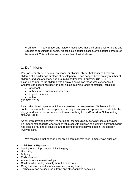Wellington Primary School and Nursery recognises that children are vulnerable to and capable of abusing their peers. We take such abuse as seriously as abuse perpetrated by an adult. This includes verbal as well as physical abuse.

# **1. Definitions**

Peer-on-peer abuse is sexual, emotional or physical abuse that happens between children of a similar age or stage of development. It can happen between any number of children, and can affect any age group (Department for Education (DfE), 2018). It can be harmful to the children who display it as well as those who experience it. Children can experience peer-on-peer abuse in a wide range of settings, including:

- at school
- at home or in someone else's home
- in public spaces
- online

(NSPCC, 2018).

It can take place in spaces which are supervised or unsupervised. Within a school context, for example, peer-on-peer abuse might take place in spaces such as toilets, the playground, corridors and when children are walking home (Contextual Safeguarding Network, 2020).

As children develop healthily, it's normal for them to display certain types of behaviour. It's important that adults who work or volunteer with children can identify if any behaviour has become harmful or abusive, and respond proportionally to keep all the children involved safe.

We recognise that peer on peer abuse can manifest itself in many ways such as:

- Child Sexual Exploitation
- Sexting or youth produced digital imagery
- Upskirting
- Bullvina
- Radicalisation
- Abuse in intimate relationships
- Children who display sexually harmful behaviour
- Gang association and serious violence (County Lines)
- Technology can be used for bullying and other abusive behaviour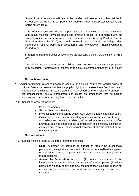Some of these behaviours will need to be handled with reference to other policies in school such as the behaviour policy, anti- bullying policy, child protection policy and online safety policy.

This policy concentrates on peer on peer abuse in the context of sexual harassment and sexual violence, physical abuse and emotional abuse. It is compliant with the statutory guidance on peer-on-peer abuse as set out in Keeping Children Safe in Education (September 2020) and should be read in conjunction with the Safeguarding Partnership regional policy and procedures, and any relevant Practice Guidance issued by it.

In regard to Harmful Sexual behaviour we are adopting the NSPCC definition of HSB as: -

"Sexual behaviours expressed by children...that are developmentally inappropriate, may be harmful towards self or others, or be abusive towards another child...or adult."

## **Sexual harassment**

- 1.1 Sexual harassment refers to unwanted conduct of a sexual nature that occurs online or offline. Sexual harassment violates a pupil's dignity and makes them feel intimidated, degraded or humiliated, and can create a hostile, sexualised or offensive environment. If left unchallenged, sexual harassment can create an atmosphere that normalises inappropriate behaviour and may lead to sexual violence.
- 1.2 Sexual harassment includes:
	- Sexual comments.
	- Sexual "jokes" and taunting.
	- Physical behaviour, such as deliberately brushing against another pupil.
	- Online sexual harassment, including non-consensual sharing of images and videos and consensual sharing of sexual images and videos (often known as sexting), inappropriate comments on social media, exploitation, coercion and threats – online sexual harassment may be isolated or part of a wider pattern.

## **Sexual violence**

- 1.3 Sexual violence refers to the three following offences:
	- **Rape:** A person (A) commits an offence of rape if he intentionally penetrates the vagina, anus or mouth of another person (B) with his penis, B does not consent to the penetration and A does not reasonably believe that B consents.
	- **Assault by Penetration:** A person (A) commits an offence if s/he intentionally penetrates the vagina or anus of another person (B) with a part of her/his body or anything else, the penetration is sexual, B does not consent to the penetration and A does not reasonably believe that B consents.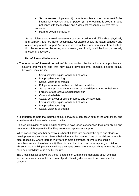- **Sexual Assault:** A person (A) commits an offence of sexual assault if s/he intentionally touches another person (B), the touching is sexual, B does not consent to the touching and A does not reasonably believe that B consents.
- Harmful sexual behaviours

Sexual violence and sexual harassment can occur online and offline (both physically and verbally), and are never acceptable. All victims should be taken seriously and offered appropriate support. Victims of sexual violence and harassment are likely to find the experience distressing and stressful, and it will, in all likelihood, adversely affect their education.

## **Harmful sexual behaviours**

- The term "**harmful sexual behaviour"** is used to describe behaviour that is problematic, abusive and violent, and that may cause developmental damage. Harmful sexual behaviour may include:
	- Using sexually explicit words and phrases.
	- Inappropriate touching.
	- Sexual violence or threats.
	- Full penetrative sex with other children or adults.
	- Sexual interest in adults or children of very different ages to their own.
	- Forceful or aggressive sexual behaviour.
	- Compulsive habits.
	- Sexual behaviour affecting progress and achievement.
	- Using sexually explicit words and phrases.
	- Inappropriate touching.
	- Sexual violence or threats.

It is important to note that harmful sexual behaviours can occur both online and offline, and sometimes simultaneously between the two.

Children displaying harmful sexual behaviour have often experienced their own abuse and trauma, and it is imperative that they are offered appropriate support.

When considering whether behaviour is harmful, take into account the ages and stages of development of the children. Sexual behaviour can be harmful if one of the children is much older (especially where there is two years or more difference, or where one child is prepubescent and the other is not). Keep in mind that it is possible for a younger child to abuse an older child, particularly where they have power over them, such as where the older child has disabilities or is small in stature.

The [Brooks sexual behaviours traffic light tool](https://www.brook.org.uk/our-work/the-sexual-behaviours-traffic-light-tool) can with making decisions about whether sexual behaviour is harmful or a natural part of healthy development and no cause for concern.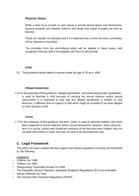## **Physical Abuse**

While a clear focus of peer on peer abuse is around sexual abuse and harassment, physical assaults and initiation violence and rituals from pupils to pupils can also be abusive.

These are equally not tolerated and if it is believed that a crime has been committed, will be reported to the police.

The principles from the anti-bullying policy will be applied in these cases, with recognition that any police investigation will need to take priority.

## **Child**

This guidance article refers to anyone under the age of 18 as a 'child'.

## **Alleged perpetrator**

For the purposes of this guidance, 'alleged perpetrator', and where appropriate 'perpetrator', is used to describe a child accused of carrying out sexual violence and/or sexual harassment. It is important to note that any alleged perpetrator is entitled to, and deserves, a different level of support to that which might be provided to an adult alleged to have abused a child.

## **Victim**

For the purposes of this guidance, the term 'victim' is used to describe children who have been subjected to sexual violence and/or sexual harassment; however, when using the term in a school, school staff should be conscious of the fact that some children may not consider themselves a victim and may not wish to be described this way.

## **2. Legal Framework**

This policy has been created with due regard to all relevant legislation including, but not limited to, the following:

**Legislation** 

- Children Act 1989
- Children Act 2004
- Safeguarding Vulnerable Groups Act 2006
- The Education (School Teachers' Appraisal) (England) Regulations 2012 (as amended)
- Sexual Offences Act 2003
- The General Data Protection Regulation (GDPR)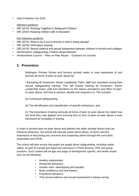• Data Protection Act 2018

## Statutory guidance

- DfE (2018) 'Working Together to Safeguard Children'
- DfE (2020) 'Keeping children safe in education'

## Non-statutory guidance

- DfE (2015) 'What to do if you're worried a child is being abused'
- DfE (2018) 'Information sharing'
- DfE (2018) 'Sexual violence and sexual harassment between children in schools and colleges'
- Herefordshire Safeguarding Children Board Website
- Herefordshire Council 'Peer on Peer Abuse' Guidance for schools.

## **3. Prevention**

Wellington Primary School and Nursery actively seeks to raise awareness of and prevent all forms of peer-on-peer abuse by:

• Educating all Governors, Senior Leadership Team, staff and volunteers during their annual safeguarding training. This will include training all Governors, Senior Leadership Team, staff and volunteers on the nature, prevalence and effect of peeron-peer abuse, and how to prevent, identify and respond to it. This includes

- (a) Contextual Safeguarding;
- (b) The identification and classification of specific behaviours; and

(c) The importance of taking seriously all forms of peer-on-peer abuse (no matter how low level they may appear) and ensuring that no form of peer-on-peer abuse is ever dismissed as horseplay or teasing.

In order to prevent peer-on-peer abuse and address the wider societal factors that can influence behaviour, the school will educate pupils about abuse, its forms and the importance of discussing any concerns and respecting others through the curriculum, assemblies and PSHE.

The school will also ensure that pupils are taught about safeguarding, including online safety, as part of a broad and balanced curriculum in PSHE lessons, RSE and group sessions. Such content will be age and stage of development specific, and tackle issues such as the following:

- Healthy relationships
- Respectful behaviour
- Gender roles, stereotyping and equality
- Body confidence and self-esteem
- Prejudiced behaviour
- That sexual violence and sexual harassment is always wrong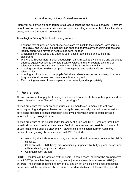• Addressing cultures of sexual harassment

Pupils will be allowed an open forum to talk about concerns and sexual behaviour. They are taught how to raise concerns and make a report, including concerns about their friends or peers, and how a report will be handled.

At Wellington Primary School and Nursery we are:

- Ensuring that all peer-on-peer abuse issues are fed back to the School's Safeguarding Team (DSL and DDSL's) so that they can spot and address any concerning trends and identify pupils who maybe in need of additional support.
- Challenging the attitudes that underlie such abuse (both inside and outside the classroom);
- Working with Governors, Senior Leadership Team, all staff and volunteers and parents to address equality issues, to promote positive values, and to encourage a culture of tolerance and respect amongst all members of the School community;
- Creating conditions in which our pupils can aspire to and realise safe and healthy relationships;
- Creating a culture in which our pupils feel able to share their concerns openly, in a nonjudgmental environment, and have them listened to; and
- Responding to cases of peer-on-peer abuse promptly and appropriately.

## **4. Awareness**

All staff are aware that pupils of any age and sex are capable of abusing their peers and will never tolerate abuse as "banter" or "part of growing up".

All staff are aware that peer-on-peer abuse can be manifested in many different ways, including sexting and gender issues, such as girls being sexually touched or assaulted, and boys being subjected to hazing/initiation type of violence which aims to cause physical, emotional or psychological harm.

All staff are aware of the heightened vulnerability of pupils with SEND, who are three times more likely to be abused than their peers. Staff will not assume that possible indicators of abuse relate to the pupil's SEND and will always explore indicators further. Additional barriers to recognising abuse in children with SEND include:

- Assuming that indicators of abuse, such as mood and behaviour, relate to the child's disability.
- Children with SEND being disproportionally impacted by bullying and harassment without showing any outward signs.
- Communication barriers.

LGBTQ+ children can be targeted by their peers. In some cases, children who are perceived to be LGBTQ+, whether they are or not, can be just as vulnerable to abuse as LGBTQ+ children. The school's response to boy-on-boy and girl-on-girl sexual violence and sexual harassment will be equally as robust as it is for incidents between children of the opposite sex.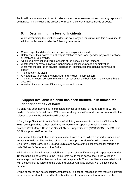Pupils will be made aware of how to raise concerns or make a report and how any reports will be handled. This includes the process for reporting concerns about friends or peers.

# **5. Determining the level of Incidents**

While determining the level of incidents is not always clear-cut we use this as a guide. In addition to this we consider the following behaviours:

- Chronological and developmental ages of everyone involved
- Difference in their power or authority in relation to age, race, gender, physical, emotional or intellectual vulnerability
- All alleged physical and verbal aspects of the behaviour and incident
- Whether the behaviour involved inappropriate sexual knowledge or motivation
- What was the degree of physical aggression, intimidation, threatening behaviour or bribery
- The effect on the victim
- Any attempts to ensure the behaviour and incident is kept a secret
- The child or young person's motivation or reason for the behaviour, if they admit that it occurred
- Whether this was a one-off incident, or longer in duration

# **6. Support available if a child has been harmed, is in immediate danger or at risk of harm**

If a child has been harmed, is in immediate danger or is at risk of harm, a referral will be made to Children's Social Care. Within one working day, a Social Worker will respond to the referrer to explain the action that will be taken.

If Early Help, Section 17 and/or Section 47 statutory assessments, under the Children Act 1989, are appropriate, school staff may be required to support external agencies, for example West Mercia Rape and Sexual Abuse Support Centre (WMRSASC). The DSL and DDSLs support staff as required.

Rape, assault by penetration and sexual assaults are crimes. Where a report includes such an act, the Police will be notified, often as a natural progression of making a referral to Children's Social Care. The DSL and DDSLs are aware of the local process for referrals to both Children's Services and the Police.

Whilst the age of criminal responsibility is 10 years of age, if the alleged perpetrator is under 10, the principle of referring to the Police remains. In these cases, the Police will take a welfare approach rather than a criminal justice approach. The school has a close relationship with the local Police force and the DSL and DDSLs will liaise closely with the local Police presence.

Online concerns can be especially complicated. The school recognises that there is potential for an online incident to extend further than the local community and for a victim, or the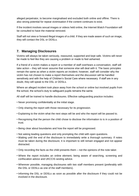alleged perpetrator, to become marginalised and excluded both online and offline. There is also strong potential for repeat victimisation if the content continues to exist.

If the incident involves sexual images or videos held online, the Internet Watch Foundation will be consulted to have the material removed.

Staff will not view or forward illegal images of a child. If they are made aware of such an image, they will contact the DSL or DDSLs.

# **7. Managing Disclosures**

Victims will always be taken seriously, reassured, supported and kept safe. Victims will never be made to feel like they are causing a problem or made to feel ashamed.

If a friend of a victim makes a report or a member of staff overhears a conversation, staff will take action – they will never assume that someone else will deal with it. The basic principles remain the same as when a victim reports an incident; however, staff will consider why the victim has not chosen to make a report themselves and the discussion will be handled sensitively and with the help of Children's Social Care where necessary. If staff are in any doubt, they will speak to the DSL or DDSLs.

Where an alleged incident took place away from the school or online but involved pupils from the school, the school's duty to safeguard pupils remains the same.

All staff will be trained to handle disclosures. Effective safeguarding practice includes:

- Never promising confidentiality at the initial stage.
- Only sharing the report with those necessary for its progression.
- Explaining to the victim what the next steps will be and who the report will be passed to.
- Recognising that the person the child chose to disclose the information to is in a position of trust.
- Being clear about boundaries and how the report will be progressed.
- Not asking leading questions and only prompting the child with open questions.
- Waiting until the end of the disclosure to immediately write a thorough summary. If notes must be taken during the disclosure, it is important to still remain engaged and not appear distracted.
- Only recording the facts as the child presents them not the opinions of the note taker.
- Where the report includes an online element, being aware of searching, screening and confiscation advice and UKCCIS sexting advice.
- Wherever possible, managing disclosures with two staff members present (preferably with the DSL or DDSLs as one of the staff members).
- Informing the DSL or DDSLs as soon as possible after the disclosure if they could not be involved in the disclosure.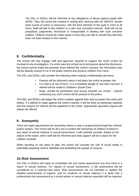The DSL or DDSLs will be informed of any allegations of abuse against pupils with SEND. They will record the incident in writing and, working with the SENCO, decide what course of action is necessary, with the best interests of the pupil in mind at all times. Staff will talk to the children in a calm and consistent manner. Staff will not be prejudiced, judgmental, dismissive or irresponsible in dealing with such sensitive matters. Children should be made aware of who they can talk to should they feel they have not been treated in this manner.

# **8. Confidentiality**

The school will only engage staff and agencies required to support the victim and/or be involved in any investigation. If a victim asks the school not to tell anyone about the disclosure, the school cannot make this promise. Even without the victim's consent, the information may still be lawfully shared if it is in the public interest and protects children from harm.

The DSL and DDSLs will consider the following when making confidentiality decisions:

- Parents will be informed unless it will place the victim at greater risk.
- If a child is at risk of harm, is in immediate danger or has been harmed, a referral will be made to Children's Social Care
- Rape, assault by penetration and sexual assaults are crimes reports containing any such crimes will be passed to the police.

The DSL and DDSLs will weigh the victim's wishes against their duty to protect the victim and others. If a referral is made against the victim's wishes, it will be done so extremely carefully and the reasons for referral will be explained to the victim. Appropriate specialist support will always be offered.

# **9. Anonymity**

There are legal requirements for anonymity where a case is progressing through the criminal justice system. The school will do all it can to protect the anonymity of children involved in any report of sexual violence or sexual harassment. It will carefully consider, based on the nature of the report, which staff will be informed and what support will be in place for the children involved.

When deciding on the steps to take, the school will consider the role of social media in potentially exposing victims' identities and facilitating the spread of rumours.

# **10. Risk Assessment**

The DSL or DDSLs will make an immediate risk and needs assessment any time there is a report of sexual violence. For reports of sexual harassment, a risk assessment will be considered on a case-by-case basis. Risk assessments are not intended to replace the detailed assessments of experts, and for incidents of sexual violence it is likely that a professional risk assessment by a social worker or sexual violence specialist will be required.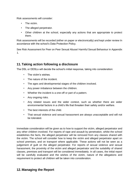Risk assessments will consider:

- The victim.
- The alleged perpetrator.
- Other children at the school, especially any actions that are appropriate to protect them.

Risk assessments will be recorded (either on paper or electronically) and kept under review In accordance with the school's Data Protection Policy.

See Risk Assessment for Peer on Peer Sexual Abuse/ Harmful Sexual Behaviour in Appendix 1.

# **11.Taking action following a disclosure**

The DSL or DDSLs will decide the school's initial response, taking into consideration:

- The victim's wishes
- The nature of the incident.
- The ages and developmental stages of the children involved.
- Any power imbalance between the children.
- Whether the incident is a one-off or part of a pattern.
- Any ongoing risks.
- Any related issues and the wider context, such as whether there are wider environmental factors in a child's life that threaten their safety and/or welfare.
- The best interests of the child.
- That sexual violence and sexual harassment are always unacceptable and will not be tolerated.

Immediate consideration will be given as to how to support the victim, alleged perpetrator and any other children involved. For reports of rape and assault by penetration, whilst the school establishes the facts, the alleged perpetrator will be removed from any classes shared with the victim. The school will consider how to keep the victim and alleged perpetrator apart on school premises, and on transport where applicable. These actions will not be seen as a judgement of guilt on the alleged perpetrator. For reports of sexual violence and sexual harassment, the proximity of the victim and alleged perpetrator and the suitability of shared classes, premises and transport will be considered immediately. In all cases, the initial report will be carefully evaluated and the wishes of the victim, nature of the allegations and requirement to protect all children will be taken into consideration.

# **12. Managing the Report**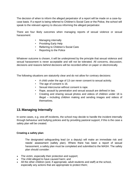The decision of when to inform the alleged perpetrator of a report will be made on a case-bycase basis. If a report is being referred to Children's Social Care or the Police, the school will speak to the relevant agency to discuss informing the alleged perpetrator.

There are four likely outcomes when managing reports of sexual violence or sexual harassment:

- Managing internally
- Providing Early Help
- Referring to Children's Social Care
- Reporting to the Police

Whatever outcome is chosen, it will be underpinned by the principle that sexual violence and sexual harassment is never acceptable and will not be tolerated. All concerns, discussion, decisions and reasons behind decisions will be recorded either on paper or electronically.

The following situations are statutorily clear and do not allow for contrary decisions:

- A child under the age of 13 can never consent to sexual activity.
- The age of consent is 16.
- Sexual intercourse without consent is rape.
- Rape, assault by penetration and sexual assault are defined in law.
- Creating and sharing sexual photos and videos of children under 18 is illegal – including children making and sending images and videos of themselves.

# **13. Managing Internally**

In some cases, e.g. one-off incidents, the school may decide to handle the incident internally through behaviour and bullying policies and by providing pastoral support, if this is the case a safety plan will be created.

## **Creating a safety plan**:

The designated safeguarding lead (or a deputy) will make an immediate risk and needs' assessment (safety plan). Where there has been a report of sexual harassment, a safety plan must be completed and submitted to the MASH. The safety plan should consider:

- The victim, especially their protection and support;
- The child alleged to have caused harm; and
- All the other children (and, if appropriate, adult students and staff) at the school, especially any actions that are appropriate to protect them;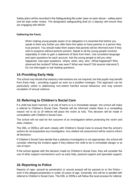Safety plans will be recorded in the Safeguarding file under 'peer-on-peer abuse – safety plans' and be kept under review. The designated safeguarding lead (or a deputy) will ensure they are engaging with MASH.

## **Gathering the Facts**:

When making young people aware of an allegation it is essential that before you speak to them any further you offer them the option to have parents or a person they trust present. You should make them aware that parents will be informed even if they wish to progress without parents present. Speak to all the young people involved separately in order to gain a statement of facts from them. Use consistent language and open questions for each account. Ask the young people to tell you what happened. Use open questions, 'where, when, why, who'. (What happened? Who observed the incident? What was seen? What was heard? Did anyone intervene?). Do not interrogate or ask leading questions.

# **14.Providing Early Help**

The school may decide that statutory interventions are not required, but that pupils may benefit from Early Help – providing support as soon as a problem emerges. This approach can be particularly useful in addressing non-violent harmful sexual behaviour and may prevent escalation of sexual violence.

# **15. Referring to Children's Social Care**

If a child has been harmed, is at risk of harm or is in immediate danger, the school will make a referral to Children's Social Care. Parents will be informed unless there is a compelling reason not to do so (if referral will place the victim at risk). This decision will be made in consultation with Children's Social Care.

The school will not wait for the outcome of an investigation before protecting the victim and other children.

The DSL or DDSLs will work closely with Children's Social Care to ensure that the school's actions do not jeopardise any investigation. Any related risk assessment will be used to inform all decisions.

If Children's Social Care decide that a statutory investigation is not appropriate, the school will consider referring the incident again if they believe the child to be in immediate danger or at risk of harm.

If the school agrees with the decision made by Children's Social Care, they will consider the use of other support mechanisms such as early help, pastoral support and specialist support.

# **16. Reporting to Police**

Reports of rape, assault by penetration or sexual assault will be passed on to the Police – even if the alleged perpetrator is under 10 years of age. Generally, this will be in parallel with referral to Children's Social Care. The DSL or DDSLs will follow the local process for referral.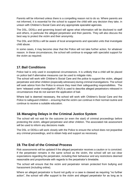Parents will be informed unless there is a compelling reason not to do so. Where parents are not informed, it is essential for the school to support the child with any decision they take, in unison with Children's Social Care and any appropriate specialist agencies.

The DSL, DDSLs and governing board will agree what information will be disclosed to staff and others, in particular the alleged perpetrator and their parents. They will also discuss the best way to protect the victim and their anonymity.

The DSL and DDSLs will be aware of local arrangements and specialist units that investigate child abuse.

In some cases, it may become clear that the Police will not take further action, for whatever reason. In these circumstances, the school will continue to engage with specialist support for the victim as required.

# **17. Bail Conditions**

Police bail is only used in exceptional circumstances. It is unlikely that a child will be placed on police bail if alternative measures can be used to mitigate risks.

The school will work with Children's Social Care and the police to support the victim, alleged perpetrator and other children (especially witnesses) during criminal investigations. The school will seek advice from the Police to ensure they meet their safeguarding responsibilities. The term 'released under investigation' (RUI) is used to describe alleged perpetrators released in circumstances that do not warrant the application of bail.

Where bail is deemed necessary, the school will work with Children's Social Care and the Police to safeguard children – ensuring that the victim can continue in their normal routine and continue to receive a suitable education.

# **18. Managing Delays in the Criminal Justice System**

The school will not wait for the outcome (or even the start) of criminal proceedings before protecting the victim, alleged perpetrator and other children. The associated risk assessment will be used to inform any decisions made.

The DSL or DDSLs will work closely with the Police to ensure the school does not jeopardise any criminal proceedings, and to obtain help and support as necessary.

# **19.The End of the Criminal Process**

Risk assessments will be updated if the alleged perpetrator receives a caution or is convicted. If the perpetrator remains in the same school as the victim, the school will set out clear expectations regarding the perpetrator, including their behaviour and any restrictions deemed reasonable and proportionate with regards to the perpetrator's timetable.

The school will ensure that the victim and perpetrator remain protected from bullying and harassment (including online).

Where an alleged perpetrator is found not guilty or a case is classed as requiring "no further action", the school will offer support to the victim and alleged perpetrator for as long as is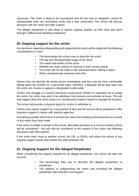necessary. The victim is likely to be traumatised and the fact that an allegation cannot be substantiated does not necessarily mean that it was unfounded. The school will discuss decisions with the victim and offer support.

The alleged perpetrator is also likely to require ongoing support, as they have also been through a difficult and upsetting experience.

# **20.Ongoing support for the victim**

Any decisions regarding safeguarding and supporting the victim will be made with the following considerations in mind:

- The terminology the school uses to describe the victim
- The age and developmental stage of the victim
- The needs and wishes of the victim
- Whether the victim wishes to continue in their normal routine
- The victim will not be made to feel ashamed about making a report
- What a proportionate response looks like

Victims may not disclose the whole picture immediately and they may be more comfortable talking about the incident on a piecemeal basis; therefore, a dialogue will be kept open and the victim can choose to appoint a designated trusted adult.

Victims may struggle in a normal classroom environment. Whilst it is important not to isolate the victim, the victim may wish to be withdrawn from lessons and activities at times. This will only happen when the victim wants it to, not because it makes it easier to manage the situation.

The school will provide a physical space for victims to withdraw to.

Victims may require support for a long period of time and the school will be prepared to offer long-term support in liaison with relevant agencies.

Everything possible will be done to prevent the victim from bullying and harassment as a result of any report they have made.

If the victim is unable to remain in the school, alternative provision or a move to another school will be considered – this will only be considered at the request of the victim and following discussion with their parents.

If the victim does move to another school, the DSL or DDSLs will inform the school of any ongoing support needs and transfer the child protection file.

# **21. Ongoing Support for the Alleged Perpetrator**

When considering the support required for an alleged perpetrator, the school will take into account:

- The terminology they use to describe the alleged perpetrator or perpetrator.
- The balance of safeguarding the victim and providing the alleged perpetrator with education and support.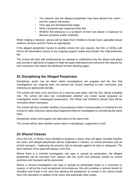- The reasons why the alleged perpetrator may have abused the victim and the support necessary.
- Their age and developmental stage.
- What a proportionate response looks like.
- Whether the behaviour is a symptom of their own abuse or exposure to abusive practices and/or materials.

When making a decision, advice will be taken from Children's Social Care, specialist sexual violence services and the Police as appropriate.

If the alleged perpetrator moves to another school (for any reason), the DSL or DDSLs will inform the destination school of any ongoing support needs and transfer the child protection file.

The school will work with professionals as required to understand why the abuse took place and provide a high level of support to help the pupil understand and overcome the reasons for their behaviour and reduce the likelihood of them abusing again.

# **22. Disciplining the Alleged Perpetrator**

Disciplinary action can be taken whilst investigations are ongoing and the fact that investigations are ongoing does not prevent the school reaching its own conclusion and imposing an appropriate penalty.

The school will make such decisions on a case-by-case basis, with the DSL taking a leading role. The school will take into consideration whether any action would prejudice an investigation and/or subsequent prosecution. The Police and Children's Social Care will be consulted where necessary.

The school will also consider whether circumstances make it unreasonable or irrational for the school to make a decision about what happened while an investigation is considering the same facts.

Disciplinary action and support can take place at the same time.

The school will be clear whether action taken is disciplinary, supportive or both.

# **23.Shared Classes**

Once the DSL or DDSLs have decided to progress a report, they will again consider whether the victim and alleged perpetrator will be separated in classes, on school premises and on school transport – balancing the school's duty to educate against its duty to safeguard. The best interests of the pupil will always come first.

Where there is a criminal investigation into rape or assault by penetration, the alleged perpetrator will be removed from classes with the victim and potential contact on school premises and transport will be prevented.

Where a criminal investigation into rape or assault by penetration leads to a conviction or caution, in all but the most exceptional circumstances, this will constitute a serious breach of discipline and result in the view that allowing the perpetrator to remain in the school would harm the education or welfare of the victim and potentially other pupils.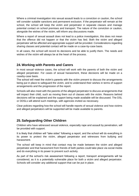Where a criminal investigation into sexual assault leads to a conviction or caution, the school will consider suitable sanctions and permanent exclusion. If the perpetrator will remain at the school, the school will keep the victim and perpetrator in separate classes and manage potential contact on school premises and transport. The nature of the conviction or caution, alongside the wishes of the victim, will inform any discussions made.

Where a report of sexual assault does not lead to a police investigation, this does not mean that the offence did not happen or that the victim has lied. Both the victim and alleged perpetrator will be affected and appropriate support will be provided. Considerations regarding sharing classes and potential contact will be made on a case-by-case basis.

In all cases, the school will record its decisions and be able to justify them. The needs and wishes of the victim will always be at the heart of the process.

## **24.Working with Parents and Carers**

In most sexual violence cases, the school will work with the parents of both the victim and alleged perpetrator. For cases of sexual harassment, these decisions will be made on a caseby-case basis.

The school will meet the victim's parents with the victim present to discuss the arrangements being put in place to safeguard the victim, and to understand their wishes in terms of support arrangements and the progression of the report.

Schools will also meet with the parents of the alleged perpetrator to discuss arrangements that will impact their child, such as moving them out of classes with the victim. Reasons behind decisions will be explained and the support being made available will be discussed. The DSL or DDSLs will attend such meetings, with agencies invited as necessary.

Clear policies regarding how the school will handle reports of sexual violence and how victims and alleged perpetrators will be supported will be made available to parents.

# **25.Safeguarding Other Children**

Children who have witnessed sexual violence, especially rape and assault by penetration, will be provided with support.

It is likely that children will "take sides" following a report, and the school will do everything in its power to protect the victim, alleged perpetrator and witnesses from bullying and harassment.

The school will keep in mind that contact may be made between the victim and alleged perpetrator and that harassment from friends of both parties could take place via social media and do everything in its power to prevent such activity.

As part of the school's risk assessment following a report, transport arrangements will be considered, as it is a potentially vulnerable place for both a victim and alleged perpetrator. Schools will consider any additional support that can be put in place.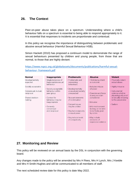## **26. The Context**

Peer-on-peer abuse takes place on a spectrum. Understanding where a child's behaviour falls on a spectrum is essential to being able to respond appropriately to it. It is essential that responses to incidents are proportionate and contextual.

In this policy we recognise the importance of distinguishing between problematic and abusive sexual behaviour (Harmful Sexual Behaviour HSB).

Simon Hackett (2010) has proposed a continuum model to demonstrate the range of sexual behaviours presented by children and young people, from those that are normal, to those that are highly deviant:

## [https://www.nspcc.org.uk/globalassets/documents/publications/harmful-sexual](https://www.nspcc.org.uk/globalassets/documents/publications/harmful-sexual-behaviour-%20framework.pdf)behaviour- [framework.pdf](https://www.nspcc.org.uk/globalassets/documents/publications/harmful-sexual-behaviour-%20framework.pdf)

| <b>Normal</b>       | Inappropriate         | <b>Problematic</b>     | <b>Abusive</b>       | <b>Violent</b>       |
|---------------------|-----------------------|------------------------|----------------------|----------------------|
| Developmentally     | · Single instances of | • Problematic and      | • Victimising intent | · Physically violent |
| expected            | inappropriate sexual  | concerning             | or outcome           | sexual abuse         |
|                     | behaviour             | behaviours             |                      |                      |
| Socially acceptable |                       |                        | · Includes misuse    | • Highly intrusive   |
|                     | · Socially acceptable | · Developmentally      | of power             |                      |
| Consensual, mutual, | behaviour within      | unusual and socially   |                      | · Instrumental       |
| reciprocal          | peer group            | unexpected             | • Coercion and force | violence which is    |
|                     |                       |                        | to ensure victim     | physiologically and/ |
| Shared decision     | • Context for         | . No overt elements    | compliance           | or sexually arousing |
| making              | behaviour may be      | of victimisation       |                      | to the perpetrator   |
|                     | inappropriate         |                        | · Intrusive          |                      |
|                     |                       | · Consent issues       |                      | · Sadism             |
|                     | • Generally           | may be unclear         | · Informed consent   |                      |
|                     | consensual            |                        | lacking, or not able |                      |
|                     | and reciprocal        | • May lack reciprocity | to be freely given   |                      |
|                     |                       | or equal power         | by victim            |                      |
|                     |                       | · May include levels   | • May include        |                      |
|                     |                       | of compulsivity        | elements of          |                      |
|                     |                       |                        | expressive violence  |                      |
|                     |                       |                        |                      |                      |
|                     |                       |                        |                      |                      |
|                     |                       |                        |                      |                      |

# **27. Monitoring and Review**

This policy will be reviewed on an annual basis by the DSL in conjunction with the governing board.

Any changes made to the policy will be amended by Mrs H Rees, Mrs H Lynch, Mrs J Keeble and Mrs H Smith-Hughes and will be communicated to all members of staff.

The next scheduled review date for this policy is date May 2022.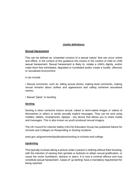## **Useful definitions**

## **Sexual Harassment**

This can be defined as 'unwanted conduct of a sexual nature' that can occur online and offline. In the context of this guidance this means in the context of child on child sexual harassment. Sexual harassment is likely to: violate a child's dignity, and/or make them feel intimidated, degraded or humiliated and/or create a hostile, offensive or sexualised environment.

## It can include

• Sexual comments, such as: telling sexual stories, making lewd comments, making sexual remarks about clothes and appearance and calling someone sexualised names;

• Sexual "jokes" or taunting.

## **Sexting**

Sexting is when someone shares sexual, naked or semi-naked images or videos of themselves or others or sends sexually explicit messages. They can be sent using mobiles, tablets, smartphones, laptops - any device that allows you to share media and messages. This is also known as youth produced sexual imagery

The UK Council for Internet Safety (UKCIS) Education Group has published Advice for Schools and Colleges on Responding to Sexting Incidents

www.gov.uk/government/publications/sexting-in-schools-and-college

## **Upskirting**

This typically involves taking a picture under a person's clothing without them knowing, with the intention of viewing their genitals or buttocks to obtain sexual gratification, or cause the victim humiliation, distress or alarm. It is now a criminal offence and may constitute sexual harassment. Cases of 'up skirting' have a mandatory requirement for being reported.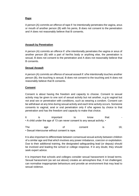## **Rape**

A person (A) commits an offence of rape if: he intentionally penetrates the vagina, anus or mouth of another person (B) with his penis, B does not consent to the penetration and A does not reasonably believe that B consents.

## **Assault by Penetration**

A person (A) commits an offence if: s/he intentionally penetrates the vagina or anus of another person (B) with a part of her/his body or anything else, the penetration is sexual, B does not consent to the penetration and A does not reasonably believe that B consents.

## **Sexual Assault**

A person (A) commits an offence of sexual assault if: s/he intentionally touches another person (B), the touching is sexual, B does not consent to the touching and A does not reasonably believe that B consents.

## **Consent**

Consent is about having the freedom and capacity to choose. Consent to sexual activity may be given to one sort of sexual activity but not another, e.g.to vaginal but not anal sex or penetration with conditions, such as wearing a condom. Consent can be withdrawn at any time during sexual activity and each time activity occurs. Someone consents to vaginal, anal or oral penetration only if s/he agrees by choice to that penetration and has the freedom and capacity to make that choice.

|                                                                           | important | know | that: |  |
|---------------------------------------------------------------------------|-----------|------|-------|--|
| • A child under the age of 13 can never consent to any sexual activity; • |           |      |       |  |

The age of consent is 16; • Sexual intercourse without consent is rape.

It is also important to differentiate between consensual sexual activity between children of a similar age and that which involves any power imbalance, coercion or exploitation. Due to their additional training, the designated safeguarding lead (or deputy) should be involved and leading the school or college response. If in any doubt, they should seek expert advice.

It is important that schools and colleges consider sexual harassment in broad terms. Sexual harassment (as set out above) creates an atmosphere that, if not challenged, can normalise inappropriate behaviours and provide an environment that may lead to sexual violence.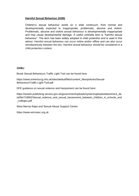## **Harmful Sexual Behaviour (HSB)**

Children's sexual behaviour exists on a wide continuum, from normal and developmentally expected to inappropriate, problematic, abusive and violent. Problematic, abusive and violent sexual behaviour is developmentally inappropriate and may cause developmental damage. A useful umbrella term is "harmful sexual behaviour". The term has been widely adopted in child protection and is used in this advice. Harmful sexual behaviour can occur online and/or offline and can also occur simultaneously between the two. Harmful sexual behaviour should be considered in a child protection context.

## **Links:**

Brook Sexual Behaviours Traffic Light Tool can be found here:

[https://www.enhertsccg.nhs.uk/sites/default/files/content\\_files/policies/Sexual-](https://www.enhertsccg.nhs.uk/sites/default/files/content_files/policies/Sexual-Behaviours-Traffic-Light-Tool.pdf)[BehavioursTraffic-Light-Tool.pdf](https://www.enhertsccg.nhs.uk/sites/default/files/content_files/policies/Sexual-Behaviours-Traffic-Light-Tool.pdf)

DFE guidance on sexual violence and harassment can be found here:

https://assets.publishing.service.gov.uk/government/uploads/system/uploads/attachment\_da ta/file/719902/Sexual\_violence\_and\_sexual\_harassment\_between\_children\_in\_schools\_and \_colleges.pdf

West Mercia Rape and Sexual Abuse Support Centre:

https://www.wmrsasc.org.uk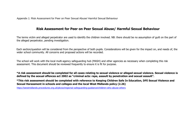Appendix 1: Risk Assessment for Peer on Peer Sexual Abuse/ Harmful Sexual Behaviour

# **Risk Assessment for Peer on Peer Sexual Abuse/ Harmful Sexual Behaviour**

The terms victim and alleged perpetrator are used to identify the children involved. NB: there should be no assumption of guilt on the part of the alleged perpetrator, pending investigation.

Each section/question will be considered from the perspective of both pupils. Considerations will be given for the impact on, and needs of, the wider school community. All concerns and proposed actions will be recorded.

The school will work with the local multi-agency safeguarding hub (MASH) and other agencies as necessary when completing this risk assessment. This document should be reviewed frequently to ensure it is fit for purpose.

**\*A risk assessment should be completed for all cases relating to sexual violence or alleged sexual violence. Sexual violence is defined by the sexual offences act 2002 as "criminal acts: rape, assault by penetration and sexual assault".** 

**\*This risk assessment should be completed with reference to Keeping Children Safe In Education, DFE Sexual Violence and Sexual Harassment in schools and colleges and the local West Midlands policy (2.26)** 

<https://westmidlands.procedures.org.uk/pkoso/regional-safeguarding-guidance/children-who-abuse-others>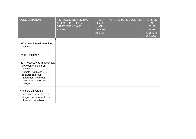| <b>CONSIDERATIONS</b>                                                                                                                                                                    | RISK (CONSIDER VICTIM,<br>ALLEGED PERPETRATOR,<br><b>OTHER PUPILS AND</b><br>STAFF) | <b>RISK</b><br><b>LEVEL</b><br>(HIGH,<br><b>MEDIUM</b><br>OR LOW) | <b>ACTIONS TO REDUCE RISK</b> | <b>REVISED</b><br><b>RISK</b><br><b>LEVEL</b><br>(HIGH,<br><b>MEDIUM</b><br>OR LOW) |
|------------------------------------------------------------------------------------------------------------------------------------------------------------------------------------------|-------------------------------------------------------------------------------------|-------------------------------------------------------------------|-------------------------------|-------------------------------------------------------------------------------------|
| • What was the nature of the<br>incident?                                                                                                                                                |                                                                                     |                                                                   |                               |                                                                                     |
| • Was it a crime?                                                                                                                                                                        |                                                                                     |                                                                   |                               |                                                                                     |
| • Is it necessary to limit contact<br>between the children<br>involved?<br>Refer to KCSiE and DFE<br>guidance on sexual<br>harassment and sexual<br>violence in schools and<br>colleges. |                                                                                     |                                                                   |                               |                                                                                     |
| • Is there an actual or<br>perceived threat from the<br>alleged perpetrator to the<br>victim and/or others?                                                                              |                                                                                     |                                                                   |                               |                                                                                     |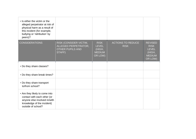| • Is either the victim or the<br>alleged perpetrator at risk of<br>physical harm as a result of<br>this incident (for example,<br>bullying or 'retribution' by<br>peers)? |                                                                                     |                                                                   |                                         |                                                                                     |
|---------------------------------------------------------------------------------------------------------------------------------------------------------------------------|-------------------------------------------------------------------------------------|-------------------------------------------------------------------|-----------------------------------------|-------------------------------------------------------------------------------------|
| <b>CONSIDERATIONS</b>                                                                                                                                                     | RISK (CONSIDER VICTIM,<br>ALLEGED PERPETRATOR,<br><b>OTHER PUPILS AND</b><br>STAFF) | <b>RISK</b><br><b>LEVEL</b><br>(HIGH,<br><b>MEDIUM</b><br>OR LOW) | <b>ACTIONS TO REDUCE</b><br><b>RISK</b> | <b>REVISED</b><br><b>RISK</b><br><b>LEVEL</b><br>(HIGH,<br><b>MEDIUM</b><br>OR LOW) |
| • Do they share classes?                                                                                                                                                  |                                                                                     |                                                                   |                                         |                                                                                     |
| • Do they share break times?                                                                                                                                              |                                                                                     |                                                                   |                                         |                                                                                     |
| • Do they share transport<br>to/from school?                                                                                                                              |                                                                                     |                                                                   |                                         |                                                                                     |
| • Are they likely to come into<br>contact with each other (or<br>anyone else involved in/with<br>knowledge of the incident)<br>outside of school?                         |                                                                                     |                                                                   |                                         |                                                                                     |